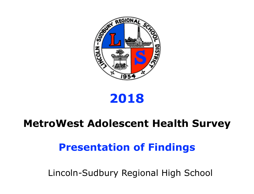

# **2018**

# **MetroWest Adolescent Health Survey**

# **Presentation of Findings**

Lincoln-Sudbury Regional High School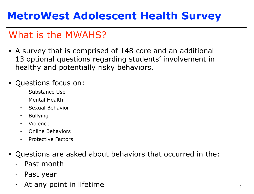# **MetroWest Adolescent Health Survey**

# What is the MWAHS?

• A survey that is comprised of 148 core and an additional 13 optional questions regarding students' involvement in healthy and potentially risky behaviors.

## • Questions focus on:

- Substance Use
- Mental Health
- Sexual Behavior
- Bullying
- Violence
- Online Behaviors
- Protective Factors
- Questions are asked about behaviors that occurred in the:
	- Past month
	- Past year
	- At any point in lifetime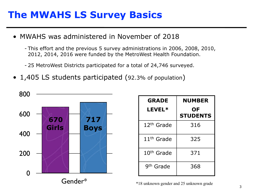## **The MWAHS LS Survey Basics**

- MWAHS was administered in November of 2018
	- This effort and the previous 5 survey administrations in 2006, 2008, 2010, 2012, 2014, 2016 were funded by the MetroWest Health Foundation.
	- 25 MetroWest Districts participated for a total of 24,746 surveyed.
- 1,405 LS students participated (92.3% of population)



| <b>GRADE</b>           | <b>NUMBER</b>         |  |
|------------------------|-----------------------|--|
| LEVEL*                 | ΟF<br><b>STUDENTS</b> |  |
| 12 <sup>th</sup> Grade | 316                   |  |
| 11 <sup>th</sup> Grade | 325                   |  |
| 10 <sup>th</sup> Grade | 371                   |  |
| 9 <sup>th</sup> Grade  | 368                   |  |

 $\sim$  3 \*18 unknown gender and 25 unknown grade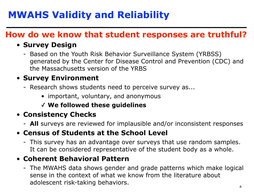# **MWAHS Validity and Reliability**

## **How do we know that student responses are truthful?**

## • **Survey Design**

- Based on the Youth Risk Behavior Surveillance System (YRBSS) generated by the Center for Disease Control and Prevention (CDC) and the Massachusetts version of the YRBS

## • **Survey Environment**

- Research shows students need to perceive survey as...
	- important, voluntary, and anonymous
	- ✓ **We followed these guidelines**

## • **Consistency Checks**

- **All** surveys are reviewed for implausible and/or inconsistent responses

## • **Census of Students at the School Level**

- This survey has an advantage over surveys that use random samples. It can be considered representative of the student body as a whole.

## • **Coherent Behavioral Pattern**

 $\sim$  4 - The MWAHS data shows gender and grade patterns which make logical sense in the context of what we know from the literature about adolescent risk-taking behaviors.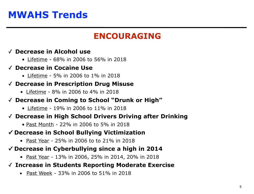# **MWAHS Trends**

## **ENCOURAGING**

### ✓ **Decrease in Alcohol use**

• Lifetime - 68% in 2006 to 56% in 2018

### ✓ **Decrease in Cocaine Use**

• Lifetime - 5% in 2006 to 1% in 2018

#### ✓ **Decrease in Prescription Drug Misuse**

• Lifetime - 8% in 2006 to 4% in 2018

#### ✓ **Decrease in Coming to School "Drunk or High"**

• Lifetime - 19% in 2006 to 11% in 2018

### ✓ **Decrease in High School Drivers Driving after Drinking**

• Past Month - 22% in 2006 to 5% in 2018

### **✓ Decrease in School Bullying Victimization**

• Past Year - 25% in 2006 to to 21% in 2018

## **✓ Decrease in Cyberbullying since a high in 2014**

• Past Year - 13% in 2006, 25% in 2014, 20% in 2018

### ✓ **Increase in Students Reporting Moderate Exercise**

• Past Week - 33% in 2006 to 51% in 2018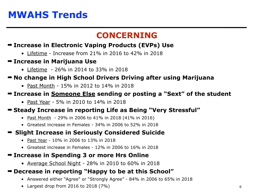# **MWAHS Trends**

## **CONCERNING**

### ➡ **Increase in Electronic Vaping Products (EVPs) Use**

- Lifetime Increase from 21% in 2016 to 42% in 2018
- ➡ **Increase in Marijuana Use**
	- Lifetime 26% in 2014 to 33% in 2018

### ➡ **No change in High School Drivers Driving after using Marijuana**

• Past Month - 15% in 2012 to 14% in 2018

#### ➡ **Increase in Someone Else sending or posting a "Sext" of the student**

• Past Year - 5% in 2010 to 14% in 2018

### ➡ **Steady Increase in reporting Life as Being "Very Stressful"**

- Past Month 29% in 2006 to 41% in 2018 (41% in 2016)
- Greatest increase in Females 34% in 2006 to 52% in 2018

## ➡ **Slight Increase in Seriously Considered Suicide**

- Past Year 10% in 2006 to 13% in 2018
- Greatest increase in Females 12% in 2006 to 16% in 2018

## ➡ **Increase in Spending 3 or more Hrs Online**

• Average School Night - 28% in 2010 to 60% in 2018

## ➡ **Decrease in reporting "Happy to be at this School"**

- Answered either "Agree" or "Strongly Agree" 84% in 2006 to 65% in 2018
- Largest drop from 2016 to 2018 (7%)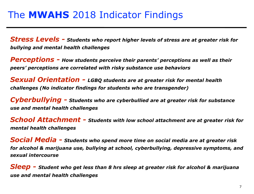## The **MWAHS** 2018 Indicator Findings

*Stress Levels - Students who report higher levels of stress are at greater risk for bullying and mental health challenges*

*Perceptions - How students perceive their parents' perceptions as well as their peers' perceptions are correlated with risky substance use behaviors*

*Sexual Orientation - LGBQ students are at greater risk for mental health challenges (No indicator findings for students who are transgender)*

*Cyberbullying - Students who are cyberbullied are at greater risk for substance use and mental health challenges*

*School Attachment - Students with low school attachment are at greater risk for mental health challenges*

*Social Media - Students who spend more time on social media are at greater risk for alcohol & marijuana use, bullying at school, cyberbullying, depressive symptoms, and sexual intercourse* 

*Sleep - Student who get less than 8 hrs sleep at greater risk for alcohol & marijuana use and mental health challenges*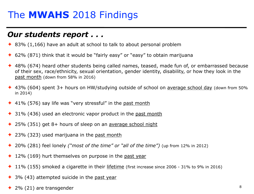## The **MWAHS** 2018 Findings

## *Our students report . . .*

- ✦ 83% (1,166) have an adult at school to talk to about personal problem
- ✦ 62% (871) think that it would be "fairly easy" or "easy" to obtain marijuana
- ✦ 48% (674) heard other students being called names, teased, made fun of, or embarrassed because of their sex, race/ethnicity, sexual orientation, gender identity, disability, or how they look in the past month (down from 58% in 2016)
- ✦ 43% (604) spent 3+ hours on HW/studying outside of school on average school day (down from 50% in 2014)
- $\triangle$  41% (576) say life was "very stressful" in the past month
- $\triangle$  31% (436) used an electronic vapor product in the past month
- ✦ 25% (351) get 8+ hours of sleep on an average school night
- ✦ 23% (323) used marijuana in the past month
- ✦ 20% (281) feel lonely *("most of the time" or "all of the time")* (up from 12% in 2012)
- $\triangle$  12% (169) hurt themselves on purpose in the past year
- ✦ 11% (155) smoked a cigarette in their lifetime (first increase since 2006 31% to 9% in 2016)
- ✦ 3% (43) attempted suicide in the past year
- ◆ 2% (21) are transgender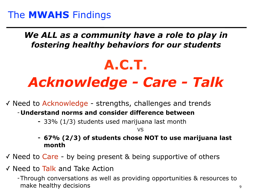## *We ALL as a community have a role to play in fostering healthy behaviors for our students*

# **A.C.T.**  *Acknowledge - Care - Talk*

✓ Need to Acknowledge - strengths, challenges and trends

- **Understand norms and consider difference between** 
	- **-** 33% (1/3) students used marijuana last month

VS

- **- 67% (2/3) of students chose NOT to use marijuana last month**
- ✓ Need to Care by being present & being supportive of others
- ✓ Need to Talk and Take Action

-Through conversations as well as providing opportunities & resources to make healthy decisions and a set of the set of the set of the set of the set of the set of the set of the set o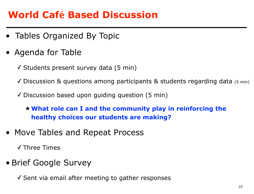## **World Café Based Discussion**

- Tables Organized By Topic
- Agenda for Table
	- ✓ Students present survey data (5 min)
	- ✓ Discussion & questions among participants & students regarding data (5 min)
	- $\checkmark$  Discussion based upon guiding question (5 min)

★**What role can I and the community play in reinforcing the healthy choices our students are making?** 

• Move Tables and Repeat Process

✓ Three Times

• Brief Google Survey

✓ Sent via email after meeting to gather responses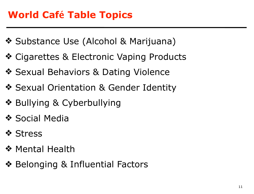# **World Café Table Topics**

- ❖ Substance Use (Alcohol & Marijuana)
- ❖ Cigarettes & Electronic Vaping Products
- ❖ Sexual Behaviors & Dating Violence
- ❖ Sexual Orientation & Gender Identity
- ❖ Bullying & Cyberbullying
- ❖ Social Media
- ❖ Stress
- ❖ Mental Health
- ❖ Belonging & Influential Factors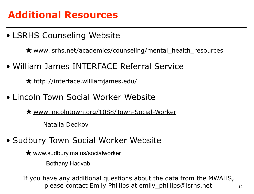# **Additional Resources**

• LSRHS Counseling Website

**★** [www.lsrhs.net/academics/counseling/mental\\_health\\_resources](http://www.lsrhs.net/sites/counseling/mental-health-resources/)

• William James INTERFACE Referral Service

★ <http://interface.williamjames.edu/>

• Lincoln Town Social Worker Website

★ [www.lincolntown.org/1088/Town-Social-Worker](http://www.lincolntown.org/1088/Town-Social-Worker)

Natalia Dedkov

- Sudbury Town Social Worker Website
	- ★ [www.sudbury.ma.us/socialworker](http://www.sudbury.ma.us/socialworker)

Bethany Hadvab

please contact Emily Phillips at emily phillips@lsrhs.net 12 If you have any additional questions about the data from the MWAHS,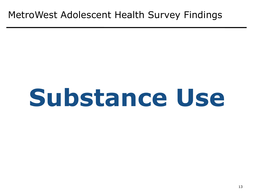# **Substance Use**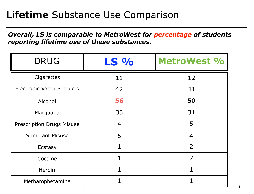## **Lifetime** Substance Use Comparison

*Overall, LS is comparable to MetroWest for percentage of students reporting lifetime use of these substances.* 

| <b>DRUG</b>                      | LS %           | MetroWest %    |
|----------------------------------|----------------|----------------|
| Cigarettes                       | 11             | 12             |
| <b>Electronic Vapor Products</b> | 42             | 41             |
| Alcohol                          | 56             | 50             |
| Marijuana                        | 33             | 31             |
| <b>Prescription Drugs Misuse</b> | $\overline{4}$ | 5              |
| <b>Stimulant Misuse</b>          | 5              | 4              |
| Ecstasy                          | 1              | 2              |
| Cocaine                          | 1              | $\overline{2}$ |
| Heroin                           | $\overline{1}$ | $\mathbf{1}$   |
| Methamphetamine                  | 1              |                |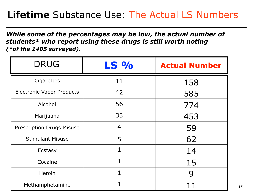# **Lifetime** Substance Use: The Actual LS Numbers

*While some of the percentages may be low, the actual number of students\* who report using these drugs is still worth noting (\*of the 1405 surveyed).* 

| <b>DRUG</b>                      | <b>LS %</b>    | <b>Actual Number</b> |
|----------------------------------|----------------|----------------------|
| Cigarettes                       | 11             | 158                  |
| <b>Electronic Vapor Products</b> | 42             | 585                  |
| Alcohol                          | 56             | 774                  |
| Marijuana                        | 33             | 453                  |
| <b>Prescription Drugs Misuse</b> | $\overline{4}$ | 59                   |
| <b>Stimulant Misuse</b>          | 5              | 62                   |
| Ecstasy                          | $\mathbf 1$    | 14                   |
| Cocaine                          | 1              | 15                   |
| Heroin                           |                | 9                    |
| Methamphetamine                  |                |                      |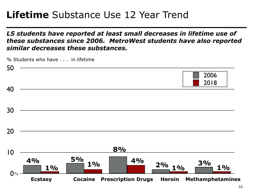## **Lifetime** Substance Use 12 Year Trend

## *LS students have reported at least small decreases in lifetime use of these substances since 2006. MetroWest students have also reported similar decreases these substances.*

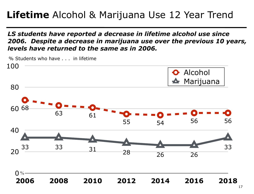# **Lifetime** Alcohol & Marijuana Use 12 Year Trend

*LS students have reported a decrease in lifetime alcohol use since 2006. Despite a decrease in marijuana use over the previous 10 years, levels have returned to the same as in 2006.* 

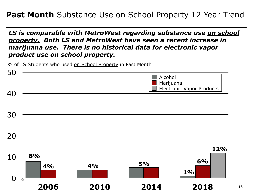## **Past Month** Substance Use on School Property 12 Year Trend

*LS is comparable with MetroWest regarding substance use on school property. Both LS and MetroWest have seen a recent increase in marijuana use. There is no historical data for electronic vapor product use on school property.*

% of LS Students who used on School Property in Past Month

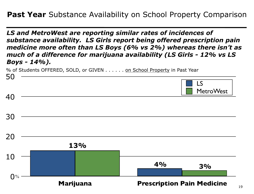*LS and MetroWest are reporting similar rates of incidences of substance availability. LS Girls report being offered prescription pain medicine more often than LS Boys (6% vs 2%) whereas there isn't as much of a difference for marijuana availability (LS Girls - 12% vs LS Boys - 14%).* 

% of Students OFFERED, SOLD, or GIVEN . . . . . . on School Property in Past Year

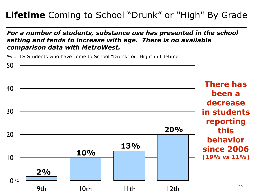## **Lifetime** Coming to School "Drunk" or "High" By Grade

## *For a number of students, substance use has presented in the school setting and tends to increase with age. There is no available comparison data with MetroWest.*

% of LS Students who have come to School "Drunk" or "High" in Lifetime

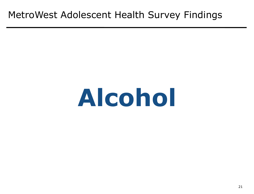## MetroWest Adolescent Health Survey Findings

# **Alcohol**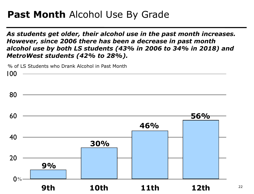## **Past Month** Alcohol Use By Grade

*As students get older, their alcohol use in the past month increases. However, since 2006 there has been a decrease in past month alcohol use by both LS students (43% in 2006 to 34% in 2018) and MetroWest students (42% to 28%).*



22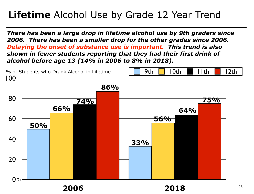# **Lifetime** Alcohol Use by Grade 12 Year Trend

*There has been a large drop in lifetime alcohol use by 9th graders since 2006. There has been a smaller drop for the other grades since 2006. Delaying the onset of substance use is important. This trend is also shown in fewer students reporting that they had their first drink of alcohol before age 13 (14% in 2006 to 8% in 2018).*

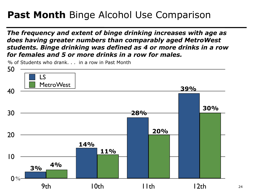# **Past Month** Binge Alcohol Use Comparison

*The frequency and extent of binge drinking increases with age as does having greater numbers than comparably aged MetroWest students. Binge drinking was defined as 4 or more drinks in a row for females and 5 or more drinks in a row for males.* 

% of Students who drank. . . in a row in Past Month

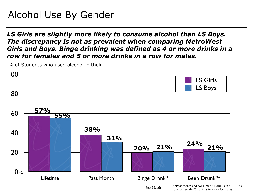# Alcohol Use By Gender

*LS Girls are slightly more likely to consume alcohol than LS Boys. The discrepancy is not as prevalent when comparing MetroWest Girls and Boys. Binge drinking was defined as 4 or more drinks in a row for females and 5 or more drinks in a row for males.* 

% of Students who used alcohol in their . . . . . .



25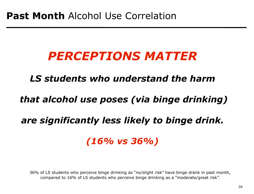# *PERCEPTIONS MATTER*

## *LS students who understand the harm*

## *that alcohol use poses (via binge drinking)*

## *are significantly less likely to binge drink.*

## *(16% vs 36%)*

36% of LS students who perceive binge drinking as "no/slight risk" have binge drank in past month, compared to 16% of LS students who perceive binge drinking as a "moderate/great risk".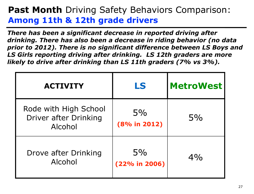## **Past Month** Driving Safety Behaviors Comparison: **Among 11th & 12th grade drivers**

*There has been a significant decrease in reported driving after drinking. There has also been a decrease in riding behavior (no data prior to 2012). There is no significant difference between LS Boys and LS Girls reporting driving after drinking. LS 12th graders are more likely to drive after drinking than LS 11th graders (7% vs 3%).*

| <b>ACTIVITY</b>                                           | LS                     | <b>MetroWest</b> |
|-----------------------------------------------------------|------------------------|------------------|
| Rode with High School<br>Driver after Drinking<br>Alcohol | $5\%$<br>(8% in 2012)  | 5%               |
| Drove after Drinking<br>Alcohol                           | $5\%$<br>(22% in 2006) | $4\%$            |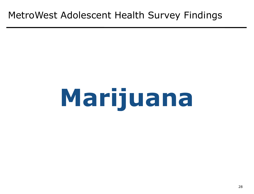## MetroWest Adolescent Health Survey Findings

# **Marijuana**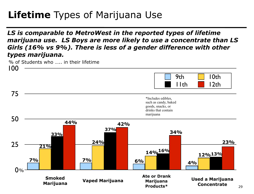# **Lifetime** Types of Marijuana Use

*LS is comparable to MetroWest in the reported types of lifetime marijuana use. LS Boys are more likely to use a concentrate than LS Girls (16% vs 9%). There is less of a gender difference with other types marijuana.*

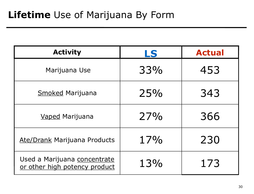| <b>Activity</b>                                               | LS  | <b>Actual</b> |
|---------------------------------------------------------------|-----|---------------|
| Marijuana Use                                                 | 33% | 453           |
| <b>Smoked Marijuana</b>                                       | 25% | 343           |
| <b>Vaped Marijuana</b>                                        | 27% | 366           |
| <b>Ate/Drank Marijuana Products</b>                           | 17% | 230           |
| Used a Marijuana concentrate<br>or other high potency product | 13% | 173           |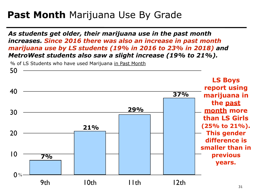## **Past Month** Marijuana Use By Grade

*As students get older, their marijuana use in the past month increases. Since 2016 there was also an increase in past month marijuana use by LS students (19% in 2016 to 23% in 2018) and MetroWest students also saw a slight increase (19% to 21%).*

% of LS Students who have used Marijuana in Past Month

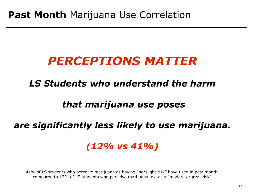# *PERCEPTIONS MATTER*

## *LS Students who understand the harm*

## *that marijuana use poses*

## *are significantly less likely to use marijuana.*

## *(12% vs 41%)*

41% of LS students who perceive marijuana as having "no/slight risk" have used in past month, compared to 12% of LS students who perceive marijuana use as a "moderate/great risk".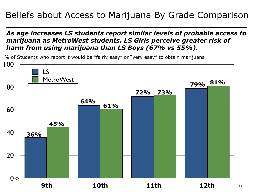## Beliefs about Access to Marijuana By Grade Comparison

## *As age increases LS students report similar levels of probable access to marijuana as MetroWest students. LS Girls perceive greater risk of harm from using marijuana than LS Boys (67% vs 55%).*

 $0%$ 20 40 60 80 100 **9th 10th 11th 12th** LS MetroWest **45% 73% 61% 79%** % of Students who report it would be "fairly easy" or "very easy" to obtain marijuana **72% 64% 36% 81%**

33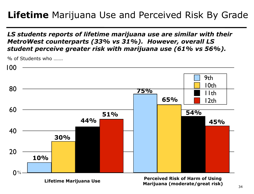## **Lifetime** Marijuana Use and Perceived Risk By Grade

*LS students reports of lifetime marijuana use are similar with their MetroWest counterparts (33% vs 31%). However, overall LS student perceive greater risk with marijuana use (61% vs 56%).*



% of Students who …….

**Lifetime Marijuana Use Perceived Risk of Harm of Using Marijuana (moderate/great risk)**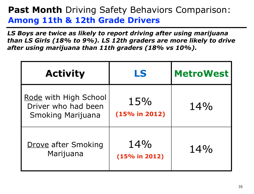## **Past Month** Driving Safety Behaviors Comparison: **Among 11th & 12th Grade Drivers**

*LS Boys are twice as likely to report driving after using marijuana than LS Girls (18% to 9%). LS 12th graders are more likely to drive after using marijuana than 11th graders (18% vs 10%).*

| <b>Activity</b>                                                          | LS                   | <b>MetroWest</b> |
|--------------------------------------------------------------------------|----------------------|------------------|
| Rode with High School<br>Driver who had been<br><b>Smoking Marijuana</b> | 15%<br>(15% in 2012) | $14\%$           |
| <b>Drove after Smoking</b><br>Marijuana                                  | 14%<br>(15% in 2012) | 14%              |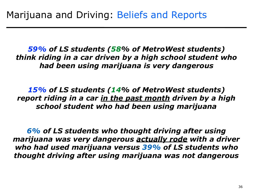*59% of LS students (58% of MetroWest students) think riding in a car driven by a high school student who had been using marijuana is very dangerous* 

*15% of LS students (14% of MetroWest students) report riding in a car in the past month driven by a high school student who had been using marijuana*

*6% of LS students who thought driving after using marijuana was very dangerous actually rode with a driver who had used marijuana versus 39% of LS students who thought driving after using marijuana was not dangerous*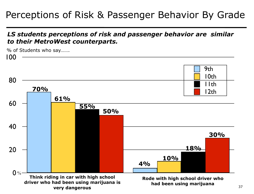## Perceptions of Risk & Passenger Behavior By Grade

#### *LS students perceptions of risk and passenger behavior are similar to their MetroWest counterparts.*

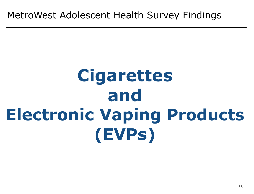## **Cigarettes and Electronic Vaping Products (EVPs)**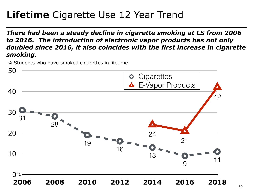## **Lifetime** Cigarette Use 12 Year Trend

*There had been a steady decline in cigarette smoking at LS from 2006 to 2016. The introduction of electronic vapor products has not only doubled since 2016, it also coincides with the first increase in cigarette smoking.*

% Students who have smoked cigarettes in lifetime

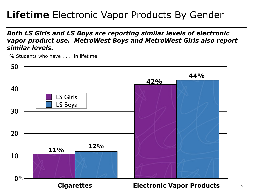## **Lifetime** Electronic Vapor Products By Gender

#### *Both LS Girls and LS Boys are reporting similar levels of electronic vapor product use. MetroWest Boys and MetroWest Girls also report similar levels.*



% Students who have . . . in lifetime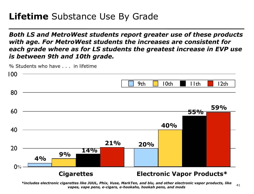#### **Lifetime** Substance Use By Grade

*Both LS and MetroWest students report greater use of these products with age. For MetroWest students the increases are consistent for each grade where as for LS students the greatest increase in EVP use is between 9th and 10th grade.* 



LAN *vapes, vape pens, e-cigars, e-hookahs, hookah pens, and mods* 41 *\*includes electronic cigarettes like JUUL, Phix, Vuse, MarkTen, and blu, and other electronic vapor products, like*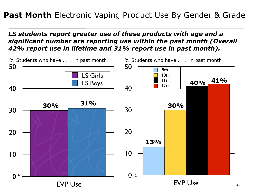#### **Past Month** Electronic Vaping Product Use By Gender & Grade

#### *LS students report greater use of these products with age and a significant number are reporting use within the past month (Overall 42% report use in lifetime and 31% report use in past month).*

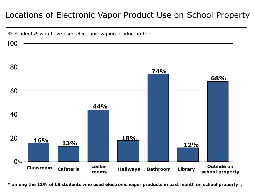#### Locations of Electronic Vapor Product Use on School Property

% Students\* who have used electronic vaping product in the . . .

100



 $\texttt{*}$  among the 12% of LS students who used electronic vapor products in past month on school property  $_{\rm 43}$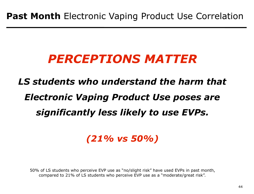## *PERCEPTIONS MATTER*

## *LS students who understand the harm that Electronic Vaping Product Use poses are significantly less likely to use EVPs.*

#### *(21% vs 50%)*

50% of LS students who perceive EVP use as "no/slight risk" have used EVPs in past month, compared to 21% of LS students who perceive EVP use as a "moderate/great risk".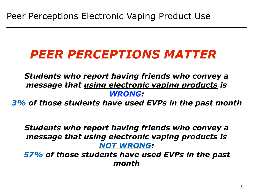## *PEER PERCEPTIONS MATTER*

*Students who report having friends who convey a message that using electronic vaping products is WRONG:* 

*3% of those students have used EVPs in the past month* 

*Students who report having friends who convey a message that using electronic vaping products is NOT WRONG:* 

*57% of those students have used EVPs in the past month*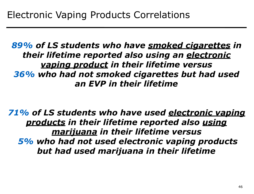*89% of LS students who have smoked cigarettes in their lifetime reported also using an electronic vaping product in their lifetime versus 36% who had not smoked cigarettes but had used an EVP in their lifetime*

*71% of LS students who have used electronic vaping products in their lifetime reported also using marijuana in their lifetime versus 5% who had not used electronic vaping products but had used marijuana in their lifetime*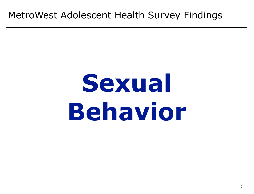### MetroWest Adolescent Health Survey Findings

## **Sexual Behavior**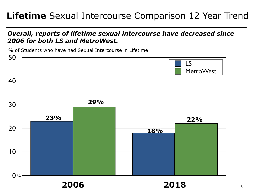#### **Lifetime** Sexual Intercourse Comparison 12 Year Trend

#### *Overall, reports of lifetime sexual intercourse have decreased since 2006 for both LS and MetroWest.*

% of Students who have had Sexual Intercourse in Lifetime

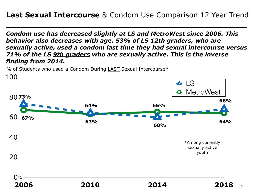*Condom use has decreased slightly at LS and MetroWest since 2006. This behavior also decreases with age. 53% of LS 12th graders, who are sexually active, used a condom last time they had sexual intercourse versus 71% of the LS 9th graders who are sexually active. This is the inverse finding from 2014.* 

% of Students who used a Condom During LAST Sexual Intercourse\*

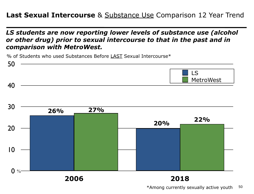#### **Last Sexual Intercourse** & Substance Use Comparison 12 Year Trend

*LS students are now reporting lower levels of substance use (alcohol or other drug) prior to sexual intercourse to that in the past and in comparison with MetroWest.*

% of Students who used Substances Before LAST Sexual Intercourse\*

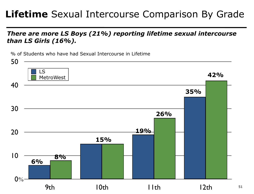## **Lifetime** Sexual Intercourse Comparison By Grade

#### *There are more LS Boys (21%) reporting lifetime sexual intercourse than LS Girls (16%).*

 $12th$   $51$ 0 % 10 20 30 40 50 9th 10th 11th 12th LS MetroWest % of Students who have had Sexual Intercourse in Lifetime **35% 19% 15% 6% 42% 26% 8%**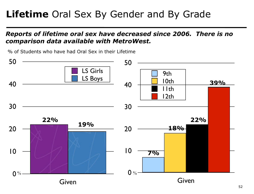## **Lifetime** Oral Sex By Gender and By Grade

#### *Reports of lifetime oral sex have decreased since 2006. There is no comparison data available with MetroWest.*

% of Students who have had Oral Sex in their Lifetime

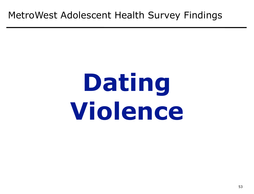### MetroWest Adolescent Health Survey Findings

## **Dating Violence**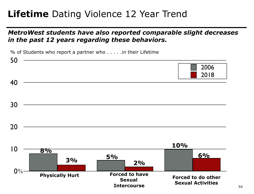### **Lifetime** Dating Violence 12 Year Trend

#### *MetroWest students have also reported comparable slight decreases in the past 12 years regarding these behaviors.*

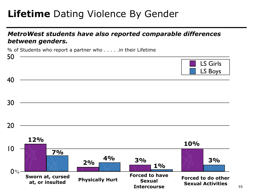## **Lifetime** Dating Violence By Gender

#### *MetroWest students have also reported comparable differences between genders.*

% of Students who report a partner who . . . . .in their Lifetime

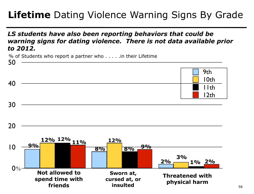## **Lifetime** Dating Violence Warning Signs By Grade

#### *LS students have also been reporting behaviors that could be warning signs for dating violence. There is not data available prior to 2012.*

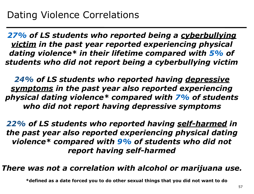*27% of LS students who reported being a cyberbullying victim in the past year reported experiencing physical dating violence\* in their lifetime compared with 5% of students who did not report being a cyberbullying victim* 

*24% of LS students who reported having depressive symptoms in the past year also reported experiencing physical dating violence\* compared with 7% of students who did not report having depressive symptoms*

*22% of LS students who reported having self-harmed in the past year also reported experiencing physical dating violence\* compared with 9% of students who did not report having self-harmed*

*There was not a correlation with alcohol or marijuana use.* 

**\*defined as a date forced you to do other sexual things that you did not want to do**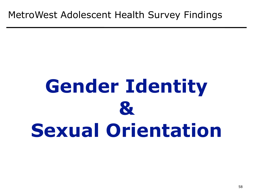## **Gender Identity & Sexual Orientation**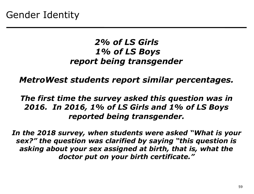#### *2% of LS Girls 1% of LS Boys report being transgender*

*MetroWest students report similar percentages.* 

#### *The first time the survey asked this question was in 2016. In 2016, 1% of LS Girls and 1% of LS Boys reported being transgender.*

*In the 2018 survey, when students were asked "What is your sex?" the question was clarified by saying "this question is asking about your sex assigned at birth, that is, what the doctor put on your birth certificate."*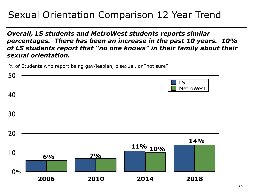## Sexual Orientation Comparison 12 Year Trend

*Overall, LS students and MetroWest students reports similar percentages. There has been an increase in the past 10 years. 10% of LS students report that "no one knows" in their family about their sexual orientation.* 

% of Students who report being gay/lesbian, bisexual, or "not sure"

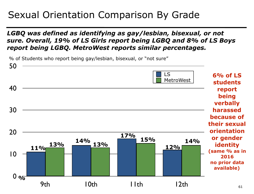### Sexual Orientation Comparison By Grade

#### *LGBQ was defined as identifying as gay/lesbian, bisexual, or not sure. Overall, 19% of LS Girls report being LGBQ and 8% of LS Boys report being LGBQ. MetroWest reports similar percentages.*

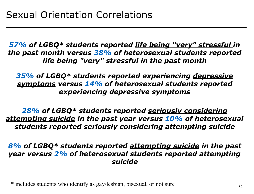*57% of LGBQ\* students reported life being "very" stressful in the past month versus 38% of heterosexual students reported life being "very" stressful in the past month*

*35% of LGBQ\* students reported experiencing depressive symptoms versus 14% of heterosexual students reported experiencing depressive symptoms* 

*28% of LGBQ\* students reported seriously considering attempting suicide in the past year versus 10% of heterosexual students reported seriously considering attempting suicide*

*8% of LGBQ\* students reported attempting suicide in the past year versus 2% of heterosexual students reported attempting suicide* 

\* includes students who identify as gay/lesbian, bisexual, or not sure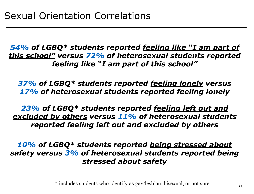*54% of LGBQ\* students reported feeling like "I am part of this school" versus 72% of heterosexual students reported feeling like "I am part of this school"* 

*37% of LGBQ\* students reported feeling lonely versus 17% of heterosexual students reported feeling lonely* 

*23% of LGBQ\* students reported feeling left out and excluded by others versus 11% of heterosexual students reported feeling left out and excluded by others* 

*10% of LGBQ\* students reported being stressed about safety versus 3% of heterosexual students reported being stressed about safety* 

\* includes students who identify as gay/lesbian, bisexual, or not sure 63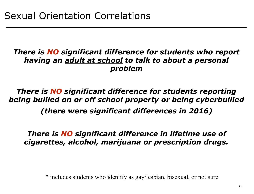#### *There is NO significant difference for students who report having an adult at school to talk to about a personal problem*

*There is NO significant difference for students reporting being bullied on or off school property or being cyberbullied (there were significant differences in 2016)* 

*There is NO significant difference in lifetime use of cigarettes, alcohol, marijuana or prescription drugs.* 

\* includes students who identify as gay/lesbian, bisexual, or not sure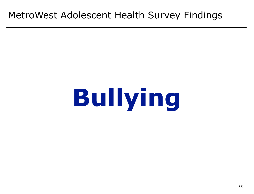### MetroWest Adolescent Health Survey Findings

# **Bullying**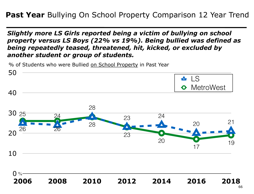*Slightly more LS Girls reported being a victim of bullying on school property versus LS Boys (22% vs 19%). Being bullied was defined as being repeatedly teased, threatened, hit, kicked, or excluded by another student or group of students.*

% of Students who were Bullied on School Property in Past Year



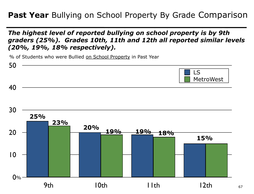#### **Past Year** Bullying on School Property By Grade Comparison

#### *The highest level of reported bullying on school property is by 9th graders (25%). Grades 10th, 11th and 12th all reported similar levels (20%, 19%, 18% respectively).*

% of Students who were Bullied on School Property in Past Year

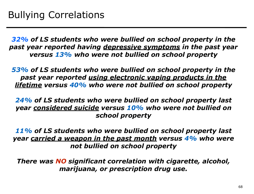*32% of LS students who were bullied on school property in the past year reported having depressive symptoms in the past year versus 13% who were not bullied on school property*

*53% of LS students who were bullied on school property in the past year reported using electronic vaping products in the lifetime versus 40% who were not bullied on school property*

*24% of LS students who were bullied on school property last year considered suicide versus 10% who were not bullied on school property* 

*11% of LS students who were bullied on school property last year carried a weapon in the past month versus 4% who were not bullied on school property* 

*There was NO significant correlation with cigarette, alcohol, marijuana, or prescription drug use.*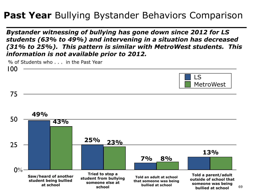## **Past Year** Bullying Bystander Behaviors Comparison

*Bystander witnessing of bullying has gone down since 2012 for LS students (63% to 49%) and intervening in a situation has decreased (31% to 25%). This pattern is similar with MetroWest students. This information is not available prior to 2012.* 

0 % 25 50 75 100 LS MetroWest **49% 25% Told a parent/adult outside of school that 7% 43% 23% 8% Tried to stop a student from bullying Told an adult at school that someone was being Saw/heard of another student being bullied 13%** % of Students who . . . in the Past Year

**bullied at school**

**someone else at school**

**at school**

69

**someone was being bullied at school**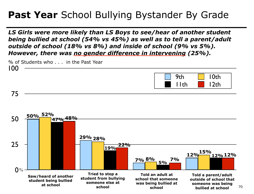## Past Year School Bullying Bystander By Grade

*LS Girls were more likely than LS Boys to see/hear of another student being bullied at school (54% vs 45%) as well as to tell a parent/adult outside of school (18% vs 8%) and inside of school (9% vs 5%). However, there was no gender difference in intervening (25%).* 

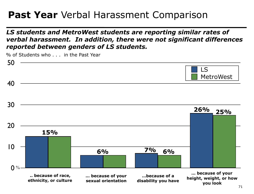## **Past Year** Verbal Harassment Comparison

*LS students and MetroWest students are reporting similar rates of verbal harassment. In addition, there were not significant differences reported between genders of LS students.* 

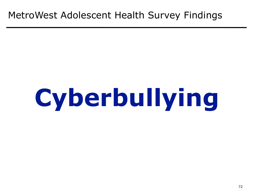### MetroWest Adolescent Health Survey Findings

# **Cyberbullying**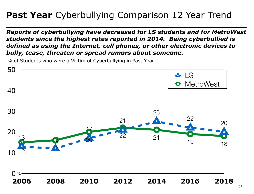# Past Year Cyberbullying Comparison 12 Year Trend

*Reports of cyberbullying have decreased for LS students and for MetroWest students since the highest rates reported in 2014. Being cyberbullied is defined as using the Internet, cell phones, or other electronic devices to bully, tease, threaten or spread rumors about someone.*

% of Students who were a Victim of Cyberbullying in Past Year

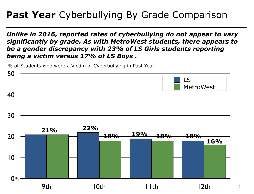# Past Year Cyberbullying By Grade Comparison

*Unlike in 2016, reported rates of cyberbullying do not appear to vary significantly by grade. As with MetroWest students, there appears to be a gender discrepancy with 23% of LS Girls students reporting being a victim versus 17% of LS Boys .* 

% of Students who were a Victim of Cyberbullying in Past Year



74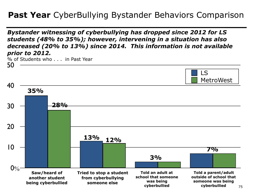## **Past Year** CyberBullying Bystander Behaviors Comparison

*Bystander witnessing of cyberbullying has dropped since 2012 for LS students (48% to 35%); however, intervening in a situation has also decreased (20% to 13%) since 2014. This information is not available prior to 2012.* 

% of Students who . . . in Past Year

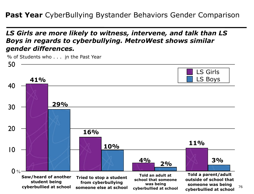**Past Year** CyberBullying Bystander Behaviors Gender Comparison

*LS Girls are more likely to witness, intervene, and talk than LS Boys in regards to cyberbullying. MetroWest shows similar gender differences.* 

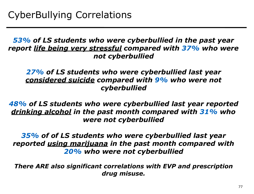*53% of LS students who were cyberbullied in the past year report life being very stressful compared with 37% who were not cyberbullied*

*27% of LS students who were cyberbullied last year considered suicide compared with 9% who were not cyberbullied* 

*48% of LS students who were cyberbullied last year reported drinking alcohol in the past month compared with 31% who were not cyberbullied* 

*35% of of LS students who were cyberbullied last year reported using marijuana in the past month compared with 20% who were not cyberbullied* 

*There ARE also significant correlations with EVP and prescription drug misuse.*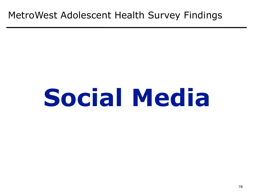# MetroWest Adolescent Health Survey Findings

# **Social Media**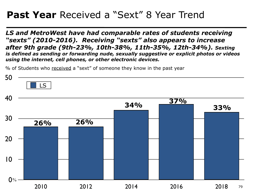# Past Year Received a "Sext" 8 Year Trend

*LS and MetroWest have had comparable rates of students receiving "sexts" (2010-2016). Receiving "sexts" also appears to increase after 9th grade (9th-23%, 10th-38%, 11th-35%, 12th-34%). Sexting is defined as sending or forwarding nude, sexually suggestive or explicit photos or videos using the internet, cell phones, or other electronic devices.* 

% of Students who received a "sext" of someone they know in the past year

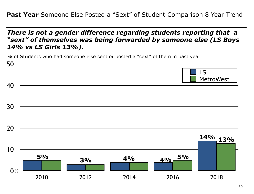**Past Year** Someone Else Posted a "Sext" of Student Comparison 8 Year Trend

*There is not a gender difference regarding students reporting that a "sext" of themselves was being forwarded by someone else (LS Boys 14% vs LS Girls 13%).* 

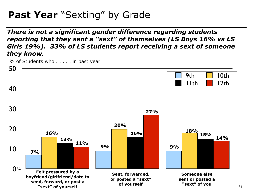# Past Year "Sexting" by Grade

*There is not a significant gender difference regarding students reporting that they sent a "sext" of themselves (LS Boys 16% vs LS Girls 19%). 33% of LS students report receiving a sext of someone they know.* 



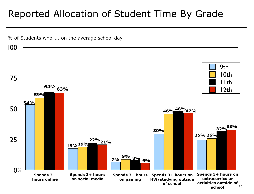# Reported Allocation of Student Time By Grade

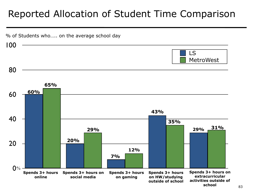# Reported Allocation of Student Time Comparison

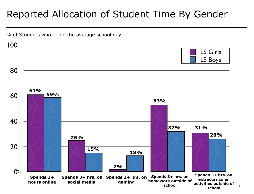# Reported Allocation of Student Time By Gender

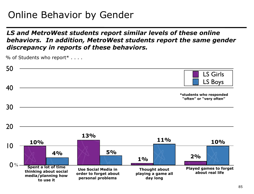# Online Behavior by Gender

#### *LS and MetroWest students report similar levels of these online behaviors. In addition, MetroWest students report the same gender discrepancy in reports of these behaviors.*

% of Students who report\* . . . .

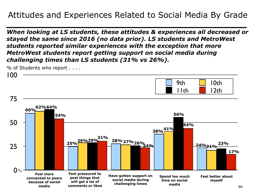## Attitudes and Experiences Related to Social Media By Grade

*When looking at LS students, these attitudes & experiences all decreased or stayed the same since 2016 (no data prior). LS students and MetroWest students reported similar experiences with the exception that more MetroWest students report getting support on social media during challenging times than LS students (31% vs 26%).* 

% of Students who report . . . .

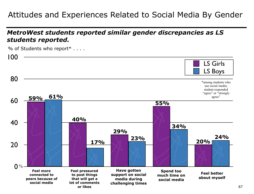## Attitudes and Experiences Related to Social Media By Gender

### *MetroWest students reported similar gender discrepancies as LS students reported.*



% of Students who report\* . . . .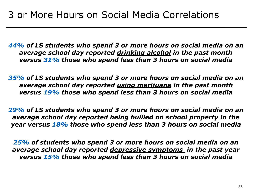*44% of LS students who spend 3 or more hours on social media on an average school day reported drinking alcohol in the past month versus 31% those who spend less than 3 hours on social media*

*35% of LS students who spend 3 or more hours on social media on an average school day reported using marijuana in the past month versus 19% those who spend less than 3 hours on social media* 

*29% of LS students who spend 3 or more hours on social media on an average school day reported being bullied on school property in the year versus 18% those who spend less than 3 hours on social media* 

*25% of students who spend 3 or more hours on social media on an average school day reported depressive symptoms in the past year versus 15% those who spend less than 3 hours on social media*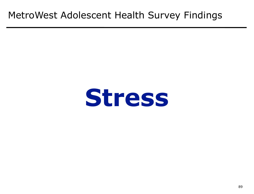# MetroWest Adolescent Health Survey Findings

# **Stress**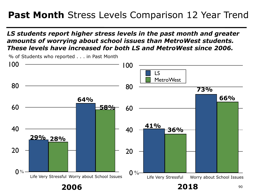# Past Month Stress Levels Comparison 12 Year Trend

#### *LS students report higher stress levels in the past month and greater amounts of worrying about school issues than MetroWest students. These levels have increased for both LS and MetroWest since 2006.*

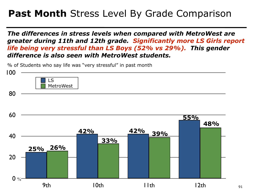# **Past Month** Stress Level By Grade Comparison

*The differences in stress levels when compared with MetroWest are greater during 11th and 12th grade. Significantly more LS Girls report life being very stressful than LS Boys (52% vs 29%). This gender difference is also seen with MetroWest students.* 

% of Students who say life was "very stressful" in past month

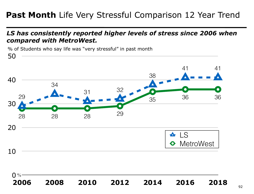## Past Month Life Very Stressful Comparison 12 Year Trend

#### *LS has consistently reported higher levels of stress since 2006 when compared with MetroWest.*

% of Students who say life was "very stressful" in past month

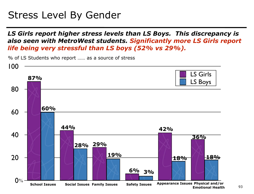# Stress Level By Gender

*LS Girls report higher stress levels than LS Boys. This discrepancy is also seen with MetroWest students. Significantly more LS Girls report life being very stressful than LS boys (52% vs 29%).*

0 % 20 40 60 80 100 LS Girls LS Boys **87% 60% 28% 44% 29% 19% 6% 3% 18% 42% 18% 36% School Issues Social Issues Family Issues Safety Issues Appearance Issues Physical and/or Emotional Health**

% of LS Students who report …… as a source of stress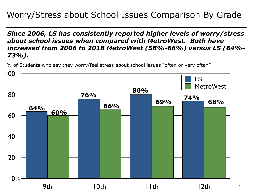## Worry/Stress about School Issues Comparison By Grade

*Since 2006, LS has consistently reported higher levels of worry/stress about school issues when compared with MetroWest. Both have increased from 2006 to 2018 MetroWest (58%-66%) versus LS (64%- 73%).*

% of Students who say they worry/feel stress about school issues "often or very often"



94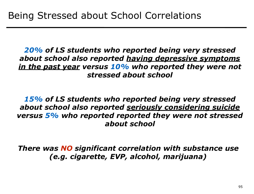*20% of LS students who reported being very stressed about school also reported having depressive symptoms in the past year versus 10% who reported they were not stressed about school* 

*15% of LS students who reported being very stressed about school also reported seriously considering suicide versus 5% who reported reported they were not stressed about school*

*There was NO significant correlation with substance use (e.g. cigarette, EVP, alcohol, marijuana)*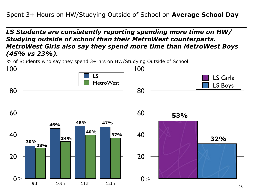#### *LS Students are consistently reporting spending more time on HW/ Studying outside of school than their MetroWest counterparts. MetroWest Girls also say they spend more time than MetroWest Boys (45% vs 23%).*

% of Students who say they spend 3+ hrs on HW/Studying Outside of School

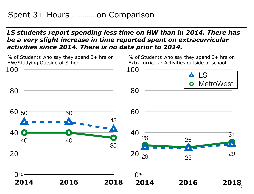#### *LS students report spending less time on HW than in 2014. There has be a very slight increase in time reported spent on extracurricular activities since 2014. There is no data prior to 2014.*

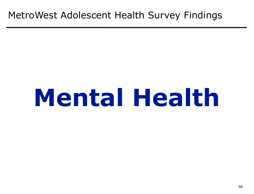# MetroWest Adolescent Health Survey Findings

# **Mental Health**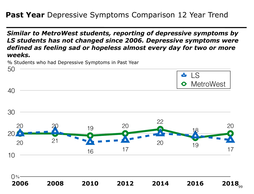### **Past Year** Depressive Symptoms Comparison 12 Year Trend

*Similar to MetroWest students, reporting of depressive symptoms by LS students has not changed since 2006. Depressive symptoms were defined as feeling sad or hopeless almost every day for two or more weeks.*

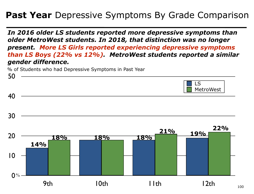## **Past Year** Depressive Symptoms By Grade Comparison

*In 2016 older LS students reported more depressive symptoms than older MetroWest students. In 2018, that distinction was no longer present. More LS Girls reported experiencing depressive symptoms than LS Boys (22% vs 12%). MetroWest students reported a similar gender difference.* 

% of Students who had Depressive Symptoms in Past Year



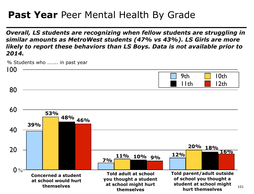# Past Year Peer Mental Health By Grade

*Overall, LS students are recognizing when fellow students are struggling in similar amounts as MetroWest students (47% vs 43%). LS Girls are more likely to report these behaviors than LS Boys. Data is not available prior to 2014.*

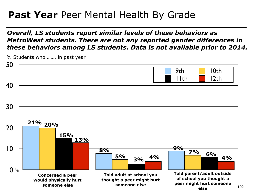# Past Year Peer Mental Health By Grade

#### *Overall, LS students report similar levels of these behaviors as MetroWest students. There are not any reported gender differences in these behaviors among LS students. Data is not available prior to 2014.*

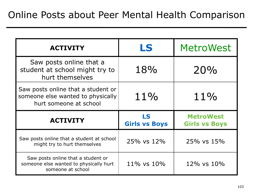| <b>ACTIVITY</b>                                                                                   | <b>MetroWest</b><br>LS         |                                          |  |
|---------------------------------------------------------------------------------------------------|--------------------------------|------------------------------------------|--|
| Saw posts online that a<br>student at school might try to<br>hurt themselves                      | 18%                            | 20%                                      |  |
| Saw posts online that a student or<br>someone else wanted to physically<br>hurt someone at school | $11\%$                         | 11%                                      |  |
| <b>ACTIVITY</b>                                                                                   | LS<br><b>Girls vs Boys</b>     | <b>MetroWest</b><br><b>Girls vs Boys</b> |  |
| Saw posts online that a student at school<br>might try to hurt themselves                         | 25% vs 12%                     | 25% vs 15%                               |  |
| Saw posts online that a student or<br>someone else wanted to physically hurt<br>someone at school | $11\%$ vs $10\%$<br>12% vs 10% |                                          |  |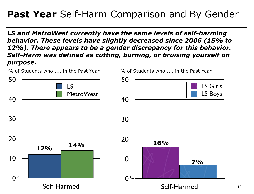# **Past Year** Self-Harm Comparison and By Gender

*LS and MetroWest currently have the same levels of self-harming behavior. These levels have slightly decreased since 2006 (15% to 12%). There appears to be a gender discrepancy for this behavior. Self-Harm was defined as cutting, burning, or bruising yourself on purpose***.**



104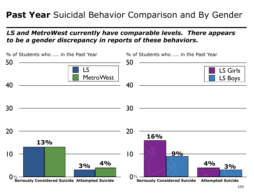## Past Year Suicidal Behavior Comparison and By Gender

### *LS and MetroWest currently have comparable levels. There appears to be a gender discrepancy in reports of these behaviors.*

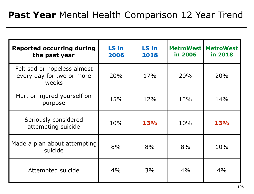| <b>Reported occurring during</b><br>the past year                 | LS in<br>2006 | LS in<br>2018 | <b>MetroWest</b><br>in 2006 | <b>MetroWest</b><br>in 2018 |
|-------------------------------------------------------------------|---------------|---------------|-----------------------------|-----------------------------|
| Felt sad or hopeless almost<br>every day for two or more<br>weeks | 20%           | 17%           | 20%                         | 20%                         |
| Hurt or injured yourself on<br>purpose                            | 15%           | 12%           | 13%                         | 14%                         |
| Seriously considered<br>attempting suicide                        | 10%           | <b>13%</b>    | 10%                         | 13%                         |
| Made a plan about attempting<br>suicide                           | 8%            | 8%            | 8%                          | 10%                         |
| Attempted suicide                                                 | 4%            | 3%            | 4%                          | 4%                          |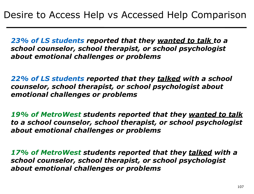*23% of LS students reported that they wanted to talk to a school counselor, school therapist, or school psychologist about emotional challenges or problems* 

*22% of LS students reported that they talked with a school counselor, school therapist, or school psychologist about emotional challenges or problems* 

*19% of MetroWest students reported that they wanted to talk to a school counselor, school therapist, or school psychologist about emotional challenges or problems* 

*17% of MetroWest students reported that they talked with a school counselor, school therapist, or school psychologist about emotional challenges or problems*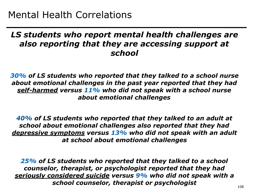### *LS students who report mental health challenges are also reporting that they are accessing support at school*

*30% of LS students who reported that they talked to a school nurse about emotional challenges in the past year reported that they had self-harmed versus 11% who did not speak with a school nurse about emotional challenges* 

*40% of LS students who reported that they talked to an adult at school about emotional challenges also reported that they had depressive symptoms versus 13% who did not speak with an adult at school about emotional challenges* 

LAN *25% of LS students who reported that they talked to a school counselor, therapist, or psychologist reported that they had seriously considered suicide versus 9% who did not speak with a school counselor, therapist or psychologist*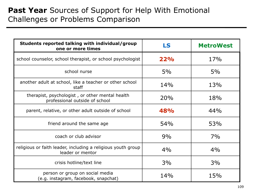## Past Year Sources of Support for Help With Emotional Challenges or Problems Comparison

| Students reported talking with individual/group<br>one or more times              | LS  | <b>MetroWest</b> |  |
|-----------------------------------------------------------------------------------|-----|------------------|--|
| school counselor, school therapist, or school psychologist                        | 22% | 17%              |  |
| school nurse                                                                      | 5%  | 5%               |  |
| another adult at school, like a teacher or other school<br>staff                  | 14% | 13%              |  |
| therapist, psychologist, or other mental health<br>professional outside of school | 20% | 18%              |  |
| parent, relative, or other adult outside of school                                | 48% | 44%              |  |
| friend around the same age                                                        | 54% | 53%              |  |
| coach or club advisor                                                             | 9%  | 7%               |  |
| religious or faith leader, including a religious youth group<br>leader or mentor  | 4%  | 4%               |  |
| crisis hotline/text line                                                          | 3%  | 3%               |  |
| person or group on social media<br>(e.g. instagram, facebook, snapchat)           | 14% | 15%              |  |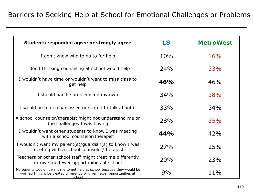| Students responded agree or strongly agree                                                                                                                  | LS  | <b>MetroWest</b> |  |
|-------------------------------------------------------------------------------------------------------------------------------------------------------------|-----|------------------|--|
| I don't know who to go to for help                                                                                                                          | 10% | 16%              |  |
| I don't thinking counseling at school would help                                                                                                            | 24% | 33%              |  |
| I wouldn't have time or wouldn't want to miss class to<br>get help                                                                                          | 46% | 46%              |  |
| I should handle problems on my own                                                                                                                          | 34% | 38%              |  |
| I would be too embarrassed or scared to talk about it                                                                                                       | 33% | 34%              |  |
| A school counselor/therapist might not understand me or<br>the challenges I was having                                                                      | 28% | 35%              |  |
| I wouldn't want other students to know I was meeting<br>with a school counselor/therapist                                                                   | 44% | 42%              |  |
| I wouldn't want my parent(s)/guardian(s) to know I was<br>meeting with a school counselor/therapist                                                         | 27% | 25%              |  |
| Teachers or other school staff might treat me differently<br>or give me fewer opportunities at school                                                       | 20% | 23%              |  |
| My parents wouldn't want me to get help at school because they would be<br>worried I might be treated differently or given fewer opportunities at<br>school | 9%  | 11%              |  |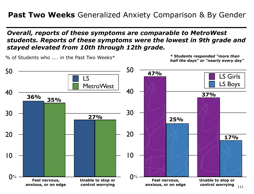### **Past Two Weeks** Generalized Anxiety Comparison & By Gender

#### *Overall, reports of these symptoms are comparable to MetroWest students. Reports of these symptoms were the lowest in 9th grade and stayed elevated from 10th through 12th grade.*

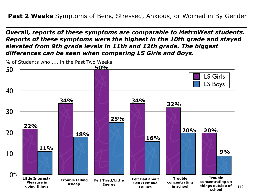*Overall, reports of these symptoms are comparable to MetroWest students. Reports of these symptoms were the highest in the 10th grade and stayed elevated from 9th grade levels in 11th and 12th grade. The biggest differences can be seen when comparing LS Girls and Boys.* 

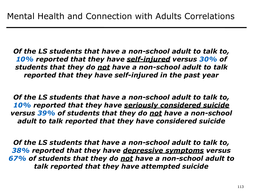*Of the LS students that have a non-school adult to talk to, 10% reported that they have self-injured versus 30% of students that they do not have a non-school adult to talk reported that they have self-injured in the past year* 

*Of the LS students that have a non-school adult to talk to, 10% reported that they have seriously considered suicide versus 39% of students that they do not have a non-school adult to talk reported that they have considered suicide*

*Of the LS students that have a non-school adult to talk to, 38% reported that they have depressive symptoms versus 67% of students that they do not have a non-school adult to talk reported that they have attempted suicide*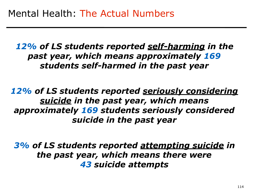*12% of LS students reported self-harming in the past year, which means approximately 169 students self-harmed in the past year*

*12% of LS students reported seriously considering suicide in the past year, which means approximately 169 students seriously considered suicide in the past year* 

*3% of LS students reported attempting suicide in the past year, which means there were 43 suicide attempts*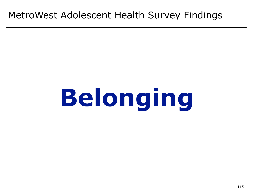# MetroWest Adolescent Health Survey Findings

# **Belonging**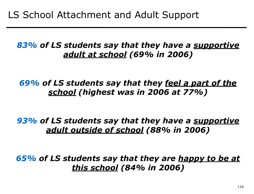## *83% of LS students say that they have a supportive adult at school (69% in 2006)*

*69% of LS students say that they feel a part of the school (highest was in 2006 at 77%)*

*93% of LS students say that they have a supportive adult outside of school (88% in 2006)*

*65% of LS students say that they are happy to be at this school (84% in 2006)*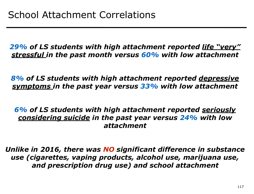*29% of LS students with high attachment reported life "very" stressful in the past month versus 60% with low attachment* 

*8% of LS students with high attachment reported depressive symptoms in the past year versus 33% with low attachment* 

*6% of LS students with high attachment reported seriously considering suicide in the past year versus 24% with low attachment* 

*Unlike in 2016, there was NO significant difference in substance use (cigarettes, vaping products, alcohol use, marijuana use, and prescription drug use) and school attachment*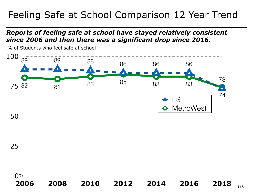# Feeling Safe at School Comparison 12 Year Trend

#### *Reports of feeling safe at school have stayed relatively consistent since 2006 and then there was a significant drop since 2016.*



% of Students who feel safe at school

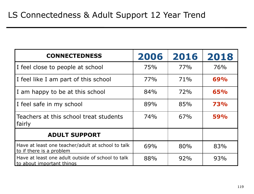| <b>CONNECTEDNESS</b>                                                           | 2006 | 2016 | 2018 |
|--------------------------------------------------------------------------------|------|------|------|
| I feel close to people at school                                               | 75%  | 77%  | 76%  |
| I feel like I am part of this school                                           | 77%  | 71%  | 69%  |
| I am happy to be at this school                                                | 84%  | 72%  | 65%  |
| I feel safe in my school                                                       | 89%  | 85%  | 73%  |
| Teachers at this school treat students<br>fairly                               | 74%  | 67%  | 59%  |
| <b>ADULT SUPPORT</b>                                                           |      |      |      |
| Have at least one teacher/adult at school to talk<br>to if there is a problem  | 69%  | 80%  | 83%  |
| Have at least one adult outside of school to talk<br>to about important things | 88%  | 92%  | 93%  |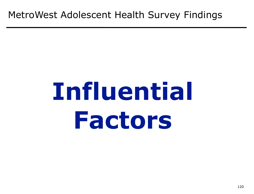# **Influential Factors**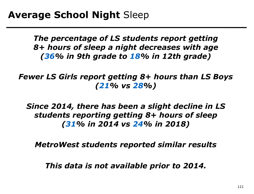*The percentage of LS students report getting 8+ hours of sleep a night decreases with age (36% in 9th grade to 18% in 12th grade)* 

*Fewer LS Girls report getting 8+ hours than LS Boys (21% vs 28%)* 

*Since 2014, there has been a slight decline in LS students reporting getting 8+ hours of sleep (31% in 2014 vs 24% in 2018)* 

*MetroWest students reported similar results* 

*This data is not available prior to 2014.*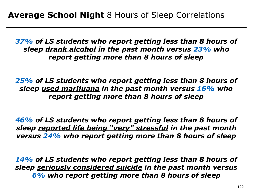*37% of LS students who report getting less than 8 hours of sleep drank alcohol in the past month versus 23% who report getting more than 8 hours of sleep* 

*25% of LS students who report getting less than 8 hours of sleep used marijuana in the past month versus 16% who report getting more than 8 hours of sleep* 

*46% of LS students who report getting less than 8 hours of sleep reported life being "very" stressful in the past month versus 24% who report getting more than 8 hours of sleep* 

*14% of LS students who report getting less than 8 hours of sleep seriously considered suicide in the past month versus 6% who report getting more than 8 hours of sleep*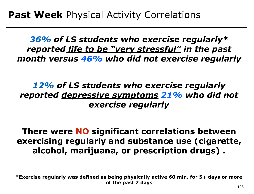*36% of LS students who exercise regularly\* reported life to be "very stressful" in the past month versus 46% who did not exercise regularly* 

# *12% of LS students who exercise regularly reported depressive symptoms 21% who did not exercise regularly*

**There were NO significant correlations between exercising regularly and substance use (cigarette, alcohol, marijuana, or prescription drugs) .** 

\***Exercise regularly was defined as being physically active 60 min. for 5+ days or more of the past 7 days** 123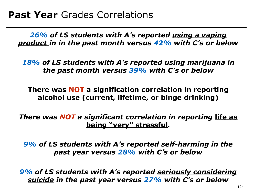*26% of LS students with A's reported using a vaping product in in the past month versus 42% with C's or below* 

*18% of LS students with A's reported using marijuana in the past month versus 39% with C's or below* 

**There was NOT a signification correlation in reporting alcohol use (current, lifetime, or binge drinking)** 

*There was NOT a significant correlation in reporting life as* **being "very" stressful***.* 

*9% of LS students with A's reported self-harming in the past year versus 28% with C's or below*

*9% of LS students with A's reported seriously considering suicide in the past year versus 27% with C's or below*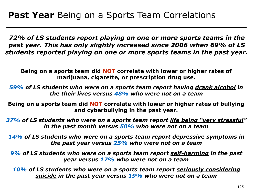*72% of LS students report playing on one or more sports teams in the past year. This has only slightly increased since 2006 when 69% of LS students reported playing on one or more sports teams in the past year.* 

**Being on a sports team did NOT correlate with lower or higher rates of marijuana, cigarette, or prescription drug use.** 

*59% of LS students who were on a sports team report having drank alcohol in the their lives versus 48% who were not on a team*

**Being on a sports team did NOT correlate with lower or higher rates of bullying and cyberbullying in the past year.** 

*37% of LS students who were on a sports team report life being "very stressful" in the past month versus 50% who were not on a team*

*14% of LS students who were on a sports team report depressive symptoms in the past year versus 25% who were not on a team*

*9% of LS students who were on a sports team report self-harming in the past year versus 17% who were not on a team*

*10% of LS students who were on a sports team report seriously considering suicide in the past year versus 19% who were not on a team*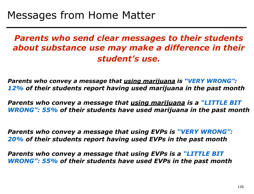*Parents who send clear messages to their students about substance use may make a difference in their student's use.*

*Parents who convey a message that using marijuana is "VERY WRONG": 12% of their students report having used marijuana in the past month* 

*Parents who convey a message that using marijuana is a "LITTLE BIT WRONG": 55% of their students have used marijuana in the past month*

*Parents who convey a message that using EVPs is "VERY WRONG": 20% of their students report having used EVPs in the past month* 

*Parents who convey a message that using EVPs is a "LITTLE BIT WRONG": 55% of their students have used EVPs in the past month*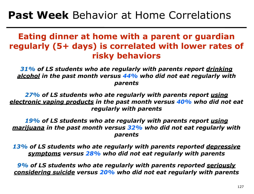# **Past Week** Behavior at Home Correlations

## **Eating dinner at home with a parent or guardian regularly (5+ days) is correlated with lower rates of risky behaviors**

*31% of LS students who ate regularly with parents report drinking alcohol in the past month versus 44% who did not eat regularly with parents*

*27% of LS students who ate regularly with parents report using electronic vaping products in the past month versus 40% who did not eat regularly with parents* 

*19% of LS students who ate regularly with parents report using marijuana in the past month versus 32% who did not eat regularly with parents*

*13% of LS students who ate regularly with parents reported depressive symptoms versus 28% who did not eat regularly with parents*

*9% of LS students who ate regularly with parents reported seriously considering suicide versus 20% who did not eat regularly with parents*